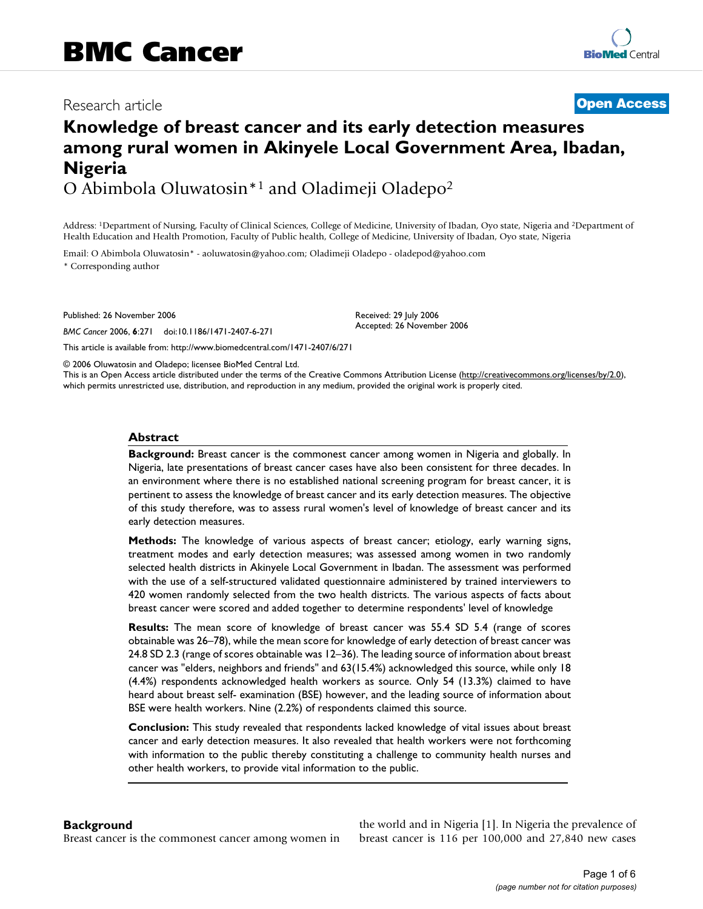# Research article **[Open Access](http://www.biomedcentral.com/info/about/charter/)**

# **Knowledge of breast cancer and its early detection measures among rural women in Akinyele Local Government Area, Ibadan, Nigeria**

O Abimbola Oluwatosin\*1 and Oladimeji Oladepo2

Address: 1Department of Nursing, Faculty of Clinical Sciences, College of Medicine, University of Ibadan, Oyo state, Nigeria and 2Department of Health Education and Health Promotion, Faculty of Public health, College of Medicine, University of Ibadan, Oyo state, Nigeria

> Received: 29 July 2006 Accepted: 26 November 2006

Email: O Abimbola Oluwatosin\* - aoluwatosin@yahoo.com; Oladimeji Oladepo - oladepod@yahoo.com

\* Corresponding author

Published: 26 November 2006

*BMC Cancer* 2006, **6**:271 doi:10.1186/1471-2407-6-271

[This article is available from: http://www.biomedcentral.com/1471-2407/6/271](http://www.biomedcentral.com/1471-2407/6/271)

© 2006 Oluwatosin and Oladepo; licensee BioMed Central Ltd.

This is an Open Access article distributed under the terms of the Creative Commons Attribution License [\(http://creativecommons.org/licenses/by/2.0\)](http://creativecommons.org/licenses/by/2.0), which permits unrestricted use, distribution, and reproduction in any medium, provided the original work is properly cited.

#### **Abstract**

**Background:** Breast cancer is the commonest cancer among women in Nigeria and globally. In Nigeria, late presentations of breast cancer cases have also been consistent for three decades. In an environment where there is no established national screening program for breast cancer, it is pertinent to assess the knowledge of breast cancer and its early detection measures. The objective of this study therefore, was to assess rural women's level of knowledge of breast cancer and its early detection measures.

**Methods:** The knowledge of various aspects of breast cancer; etiology, early warning signs, treatment modes and early detection measures; was assessed among women in two randomly selected health districts in Akinyele Local Government in Ibadan. The assessment was performed with the use of a self-structured validated questionnaire administered by trained interviewers to 420 women randomly selected from the two health districts. The various aspects of facts about breast cancer were scored and added together to determine respondents' level of knowledge

**Results:** The mean score of knowledge of breast cancer was 55.4 SD 5.4 (range of scores obtainable was 26–78), while the mean score for knowledge of early detection of breast cancer was 24.8 SD 2.3 (range of scores obtainable was 12–36). The leading source of information about breast cancer was "elders, neighbors and friends" and 63(15.4%) acknowledged this source, while only 18 (4.4%) respondents acknowledged health workers as source. Only 54 (13.3%) claimed to have heard about breast self- examination (BSE) however, and the leading source of information about BSE were health workers. Nine (2.2%) of respondents claimed this source.

**Conclusion:** This study revealed that respondents lacked knowledge of vital issues about breast cancer and early detection measures. It also revealed that health workers were not forthcoming with information to the public thereby constituting a challenge to community health nurses and other health workers, to provide vital information to the public.

#### **Background**

Breast cancer is the commonest cancer among women in

the world and in Nigeria [1]. In Nigeria the prevalence of breast cancer is 116 per 100,000 and 27,840 new cases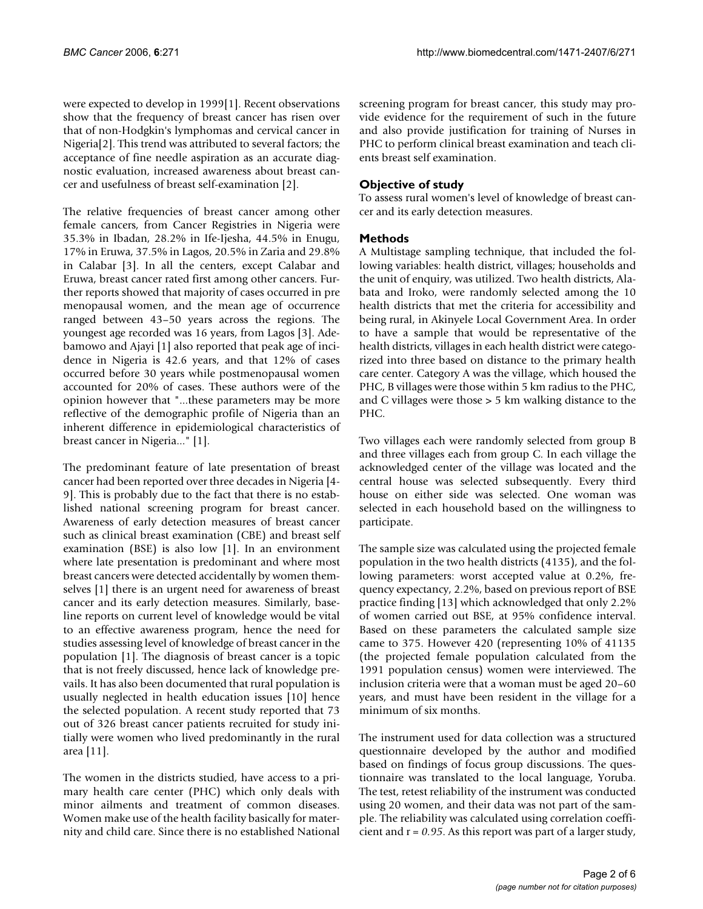were expected to develop in 1999[1]. Recent observations show that the frequency of breast cancer has risen over that of non-Hodgkin's lymphomas and cervical cancer in Nigeria[2]. This trend was attributed to several factors; the acceptance of fine needle aspiration as an accurate diagnostic evaluation, increased awareness about breast cancer and usefulness of breast self-examination [2].

The relative frequencies of breast cancer among other female cancers, from Cancer Registries in Nigeria were 35.3% in Ibadan, 28.2% in Ife-Ijesha, 44.5% in Enugu, 17% in Eruwa, 37.5% in Lagos, 20.5% in Zaria and 29.8% in Calabar [3]. In all the centers, except Calabar and Eruwa, breast cancer rated first among other cancers. Further reports showed that majority of cases occurred in pre menopausal women, and the mean age of occurrence ranged between 43–50 years across the regions. The youngest age recorded was 16 years, from Lagos [3]. Adebamowo and Ajayi [1] also reported that peak age of incidence in Nigeria is 42.6 years, and that 12% of cases occurred before 30 years while postmenopausal women accounted for 20% of cases. These authors were of the opinion however that "...these parameters may be more reflective of the demographic profile of Nigeria than an inherent difference in epidemiological characteristics of breast cancer in Nigeria..." [1].

The predominant feature of late presentation of breast cancer had been reported over three decades in Nigeria [4- 9]. This is probably due to the fact that there is no established national screening program for breast cancer. Awareness of early detection measures of breast cancer such as clinical breast examination (CBE) and breast self examination (BSE) is also low [1]. In an environment where late presentation is predominant and where most breast cancers were detected accidentally by women themselves [1] there is an urgent need for awareness of breast cancer and its early detection measures. Similarly, baseline reports on current level of knowledge would be vital to an effective awareness program, hence the need for studies assessing level of knowledge of breast cancer in the population [1]. The diagnosis of breast cancer is a topic that is not freely discussed, hence lack of knowledge prevails. It has also been documented that rural population is usually neglected in health education issues [10] hence the selected population. A recent study reported that 73 out of 326 breast cancer patients recruited for study initially were women who lived predominantly in the rural area [11].

The women in the districts studied, have access to a primary health care center (PHC) which only deals with minor ailments and treatment of common diseases. Women make use of the health facility basically for maternity and child care. Since there is no established National

screening program for breast cancer, this study may provide evidence for the requirement of such in the future and also provide justification for training of Nurses in PHC to perform clinical breast examination and teach clients breast self examination.

# **Objective of study**

To assess rural women's level of knowledge of breast cancer and its early detection measures.

## **Methods**

A Multistage sampling technique, that included the following variables: health district, villages; households and the unit of enquiry, was utilized. Two health districts, Alabata and Iroko, were randomly selected among the 10 health districts that met the criteria for accessibility and being rural, in Akinyele Local Government Area. In order to have a sample that would be representative of the health districts, villages in each health district were categorized into three based on distance to the primary health care center. Category A was the village, which housed the PHC, B villages were those within 5 km radius to the PHC, and C villages were those > 5 km walking distance to the PHC.

Two villages each were randomly selected from group B and three villages each from group C. In each village the acknowledged center of the village was located and the central house was selected subsequently. Every third house on either side was selected. One woman was selected in each household based on the willingness to participate.

The sample size was calculated using the projected female population in the two health districts (4135), and the following parameters: worst accepted value at 0.2%, frequency expectancy, 2.2%, based on previous report of BSE practice finding [13] which acknowledged that only 2.2% of women carried out BSE, at 95% confidence interval. Based on these parameters the calculated sample size came to 375. However 420 (representing 10% of 41135 (the projected female population calculated from the 1991 population census) women were interviewed. The inclusion criteria were that a woman must be aged 20–60 years, and must have been resident in the village for a minimum of six months.

The instrument used for data collection was a structured questionnaire developed by the author and modified based on findings of focus group discussions. The questionnaire was translated to the local language, Yoruba. The test, retest reliability of the instrument was conducted using 20 women, and their data was not part of the sample. The reliability was calculated using correlation coefficient and r *= 0.95*. As this report was part of a larger study,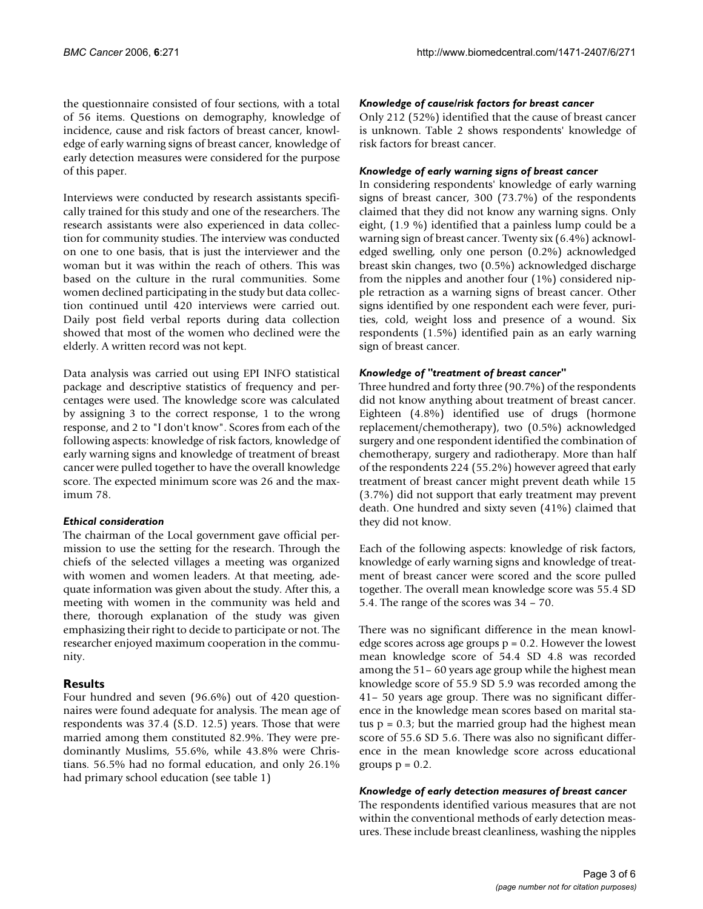the questionnaire consisted of four sections, with a total of 56 items. Questions on demography, knowledge of incidence, cause and risk factors of breast cancer, knowledge of early warning signs of breast cancer, knowledge of early detection measures were considered for the purpose of this paper.

Interviews were conducted by research assistants specifically trained for this study and one of the researchers. The research assistants were also experienced in data collection for community studies. The interview was conducted on one to one basis, that is just the interviewer and the woman but it was within the reach of others. This was based on the culture in the rural communities. Some women declined participating in the study but data collection continued until 420 interviews were carried out. Daily post field verbal reports during data collection showed that most of the women who declined were the elderly. A written record was not kept.

Data analysis was carried out using EPI INFO statistical package and descriptive statistics of frequency and percentages were used. The knowledge score was calculated by assigning 3 to the correct response, 1 to the wrong response, and 2 to "I don't know". Scores from each of the following aspects: knowledge of risk factors, knowledge of early warning signs and knowledge of treatment of breast cancer were pulled together to have the overall knowledge score. The expected minimum score was 26 and the maximum 78.

#### *Ethical consideration*

The chairman of the Local government gave official permission to use the setting for the research. Through the chiefs of the selected villages a meeting was organized with women and women leaders. At that meeting, adequate information was given about the study. After this, a meeting with women in the community was held and there, thorough explanation of the study was given emphasizing their right to decide to participate or not. The researcher enjoyed maximum cooperation in the community.

#### **Results**

Four hundred and seven (96.6%) out of 420 questionnaires were found adequate for analysis. The mean age of respondents was 37.4 (S.D. 12.5) years. Those that were married among them constituted 82.9%. They were predominantly Muslims, 55.6%, while 43.8% were Christians. 56.5% had no formal education, and only 26.1% had primary school education (see table 1)

#### *Knowledge of cause/risk factors for breast cancer*

Only 212 (52%) identified that the cause of breast cancer is unknown. Table 2 shows respondents' knowledge of risk factors for breast cancer.

#### *Knowledge of early warning signs of breast cancer*

In considering respondents' knowledge of early warning signs of breast cancer, 300 (73.7%) of the respondents claimed that they did not know any warning signs. Only eight, (1.9 %) identified that a painless lump could be a warning sign of breast cancer. Twenty six (6.4%) acknowledged swelling, only one person (0.2%) acknowledged breast skin changes, two (0.5%) acknowledged discharge from the nipples and another four (1%) considered nipple retraction as a warning signs of breast cancer. Other signs identified by one respondent each were fever, purities, cold, weight loss and presence of a wound. Six respondents (1.5%) identified pain as an early warning sign of breast cancer.

#### *Knowledge of "treatment of breast cancer"*

Three hundred and forty three (90.7%) of the respondents did not know anything about treatment of breast cancer. Eighteen (4.8%) identified use of drugs (hormone replacement/chemotherapy), two (0.5%) acknowledged surgery and one respondent identified the combination of chemotherapy, surgery and radiotherapy. More than half of the respondents 224 (55.2%) however agreed that early treatment of breast cancer might prevent death while 15 (3.7%) did not support that early treatment may prevent death. One hundred and sixty seven (41%) claimed that they did not know.

Each of the following aspects: knowledge of risk factors, knowledge of early warning signs and knowledge of treatment of breast cancer were scored and the score pulled together. The overall mean knowledge score was 55.4 SD 5.4. The range of the scores was 34 – 70.

There was no significant difference in the mean knowledge scores across age groups  $p = 0.2$ . However the lowest mean knowledge score of 54.4 SD 4.8 was recorded among the 51– 60 years age group while the highest mean knowledge score of 55.9 SD 5.9 was recorded among the 41– 50 years age group. There was no significant difference in the knowledge mean scores based on marital status  $p = 0.3$ ; but the married group had the highest mean score of 55.6 SD 5.6. There was also no significant difference in the mean knowledge score across educational groups  $p = 0.2$ .

#### *Knowledge of early detection measures of breast cancer*

The respondents identified various measures that are not within the conventional methods of early detection measures. These include breast cleanliness, washing the nipples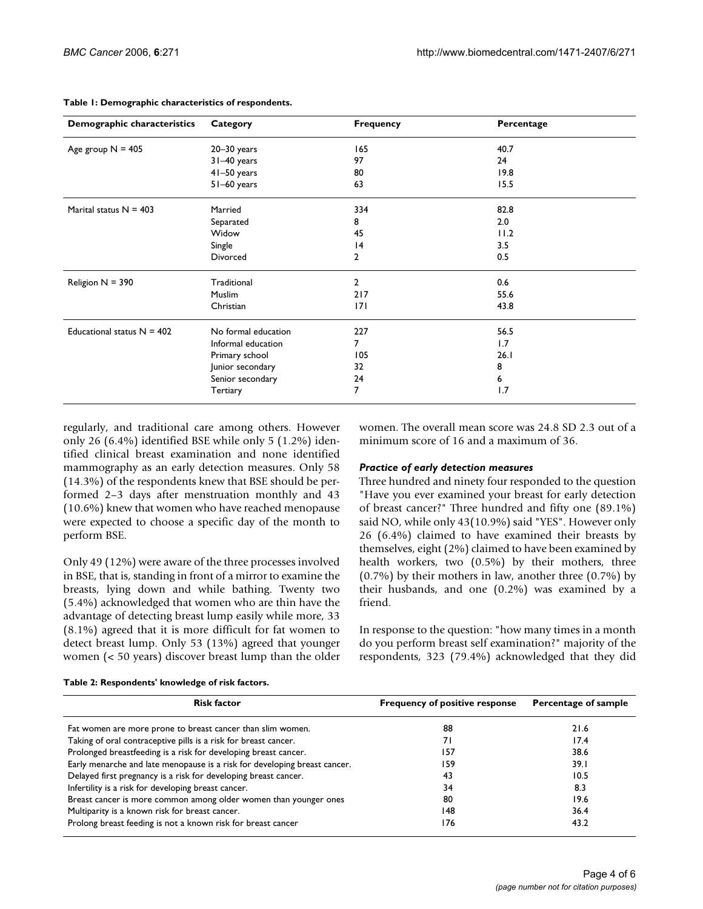| Demographic characteristics  | Category            | <b>Frequency</b> | Percentage |  |
|------------------------------|---------------------|------------------|------------|--|
| Age group $N = 405$          | $20 - 30$ years     | 165              | 40.7       |  |
|                              | $31-40$ years       | 97               | 24         |  |
|                              | 41-50 years         | 80               | 19.8       |  |
|                              | 51-60 years         | 63               | 15.5       |  |
| Marital status $N = 403$     | Married             | 334              | 82.8       |  |
|                              | Separated           | 8                | 2.0        |  |
|                              | Widow               | 45               | 11.2       |  |
|                              | Single              | 4                | 3.5        |  |
|                              | <b>Divorced</b>     | $\overline{2}$   | 0.5        |  |
| Religion $N = 390$           | Traditional         | $\overline{2}$   | 0.6        |  |
|                              | <b>Muslim</b>       | 217              | 55.6       |  |
|                              | Christian           | 7                | 43.8       |  |
| Educational status $N = 402$ | No formal education | 227              | 56.5       |  |
|                              | Informal education  | 7                | 1.7        |  |
|                              | Primary school      | 105              | 26.1       |  |
|                              | Junior secondary    | 32               | 8          |  |
|                              | Senior secondary    | 24               | 6          |  |
|                              | Tertiary            | 7                | 1.7        |  |

#### **Table 1: Demographic characteristics of respondents.**

regularly, and traditional care among others. However only 26 (6.4%) identified BSE while only 5 (1.2%) identified clinical breast examination and none identified mammography as an early detection measures. Only 58 (14.3%) of the respondents knew that BSE should be performed 2–3 days after menstruation monthly and 43 (10.6%) knew that women who have reached menopause were expected to choose a specific day of the month to perform BSE.

Only 49 (12%) were aware of the three processes involved in BSE, that is, standing in front of a mirror to examine the breasts, lying down and while bathing. Twenty two (5.4%) acknowledged that women who are thin have the advantage of detecting breast lump easily while more, 33 (8.1%) agreed that it is more difficult for fat women to detect breast lump. Only 53 (13%) agreed that younger women (< 50 years) discover breast lump than the older

women. The overall mean score was 24.8 SD 2.3 out of a minimum score of 16 and a maximum of 36.

#### *Practice of early detection measures*

Three hundred and ninety four responded to the question "Have you ever examined your breast for early detection of breast cancer?" Three hundred and fifty one (89.1%) said NO, while only 43(10.9%) said "YES". However only 26 (6.4%) claimed to have examined their breasts by themselves, eight (2%) claimed to have been examined by health workers, two (0.5%) by their mothers, three (0.7%) by their mothers in law, another three (0.7%) by their husbands, and one (0.2%) was examined by a friend.

In response to the question: "how many times in a month do you perform breast self examination?" majority of the respondents, 323 (79.4%) acknowledged that they did

| Table 2: Respondents' knowledge of risk factors. |  |  |
|--------------------------------------------------|--|--|
|--------------------------------------------------|--|--|

| <b>Risk factor</b>                                                        | <b>Frequency of positive response</b> | Percentage of sample |  |
|---------------------------------------------------------------------------|---------------------------------------|----------------------|--|
| Fat women are more prone to breast cancer than slim women.                | 88                                    | 21.6                 |  |
| Taking of oral contraceptive pills is a risk for breast cancer.           | 71                                    | 17.4                 |  |
| Prolonged breastfeeding is a risk for developing breast cancer.           | 157                                   | 38.6                 |  |
| Early menarche and late menopause is a risk for developing breast cancer. | 159                                   | 39.1                 |  |
| Delayed first pregnancy is a risk for developing breast cancer.           | 43                                    | 10.5                 |  |
| Infertility is a risk for developing breast cancer.                       | 34                                    | 8.3                  |  |
| Breast cancer is more common among older women than younger ones          | 80                                    | 19.6                 |  |
| Multiparity is a known risk for breast cancer.                            | 148                                   | 36.4                 |  |
| Prolong breast feeding is not a known risk for breast cancer              | 176                                   | 43.2                 |  |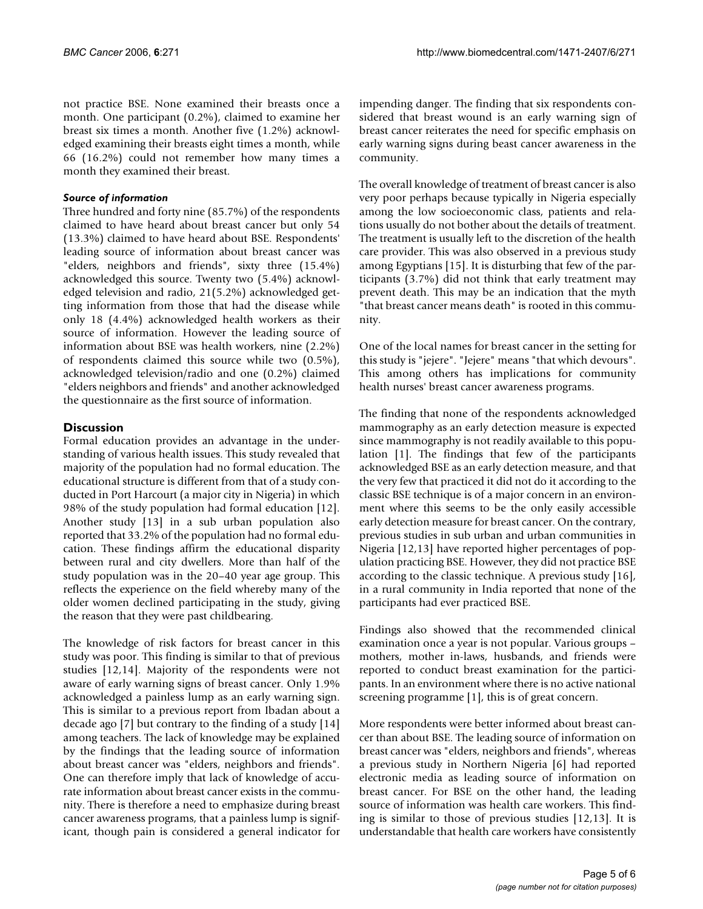not practice BSE. None examined their breasts once a month. One participant (0.2%), claimed to examine her breast six times a month. Another five (1.2%) acknowledged examining their breasts eight times a month, while 66 (16.2%) could not remember how many times a month they examined their breast.

#### *Source of information*

Three hundred and forty nine (85.7%) of the respondents claimed to have heard about breast cancer but only 54 (13.3%) claimed to have heard about BSE. Respondents' leading source of information about breast cancer was "elders, neighbors and friends", sixty three (15.4%) acknowledged this source. Twenty two (5.4%) acknowledged television and radio, 21(5.2%) acknowledged getting information from those that had the disease while only 18 (4.4%) acknowledged health workers as their source of information. However the leading source of information about BSE was health workers, nine (2.2%) of respondents claimed this source while two (0.5%), acknowledged television/radio and one (0.2%) claimed "elders neighbors and friends" and another acknowledged the questionnaire as the first source of information.

### **Discussion**

Formal education provides an advantage in the understanding of various health issues. This study revealed that majority of the population had no formal education. The educational structure is different from that of a study conducted in Port Harcourt (a major city in Nigeria) in which 98% of the study population had formal education [12]. Another study [13] in a sub urban population also reported that 33.2% of the population had no formal education. These findings affirm the educational disparity between rural and city dwellers. More than half of the study population was in the 20–40 year age group. This reflects the experience on the field whereby many of the older women declined participating in the study, giving the reason that they were past childbearing.

The knowledge of risk factors for breast cancer in this study was poor. This finding is similar to that of previous studies [12,14]. Majority of the respondents were not aware of early warning signs of breast cancer. Only 1.9% acknowledged a painless lump as an early warning sign. This is similar to a previous report from Ibadan about a decade ago [7] but contrary to the finding of a study [14] among teachers. The lack of knowledge may be explained by the findings that the leading source of information about breast cancer was "elders, neighbors and friends". One can therefore imply that lack of knowledge of accurate information about breast cancer exists in the community. There is therefore a need to emphasize during breast cancer awareness programs, that a painless lump is significant, though pain is considered a general indicator for impending danger. The finding that six respondents considered that breast wound is an early warning sign of breast cancer reiterates the need for specific emphasis on early warning signs during beast cancer awareness in the community.

The overall knowledge of treatment of breast cancer is also very poor perhaps because typically in Nigeria especially among the low socioeconomic class, patients and relations usually do not bother about the details of treatment. The treatment is usually left to the discretion of the health care provider. This was also observed in a previous study among Egyptians [15]. It is disturbing that few of the participants (3.7%) did not think that early treatment may prevent death. This may be an indication that the myth "that breast cancer means death" is rooted in this community.

One of the local names for breast cancer in the setting for this study is "jejere". "Jejere" means "that which devours". This among others has implications for community health nurses' breast cancer awareness programs.

The finding that none of the respondents acknowledged mammography as an early detection measure is expected since mammography is not readily available to this population [1]. The findings that few of the participants acknowledged BSE as an early detection measure, and that the very few that practiced it did not do it according to the classic BSE technique is of a major concern in an environment where this seems to be the only easily accessible early detection measure for breast cancer. On the contrary, previous studies in sub urban and urban communities in Nigeria [12,13] have reported higher percentages of population practicing BSE. However, they did not practice BSE according to the classic technique. A previous study [16], in a rural community in India reported that none of the participants had ever practiced BSE.

Findings also showed that the recommended clinical examination once a year is not popular. Various groups – mothers, mother in-laws, husbands, and friends were reported to conduct breast examination for the participants. In an environment where there is no active national screening programme [1], this is of great concern.

More respondents were better informed about breast cancer than about BSE. The leading source of information on breast cancer was "elders, neighbors and friends", whereas a previous study in Northern Nigeria [6] had reported electronic media as leading source of information on breast cancer. For BSE on the other hand, the leading source of information was health care workers. This finding is similar to those of previous studies [12,13]. It is understandable that health care workers have consistently